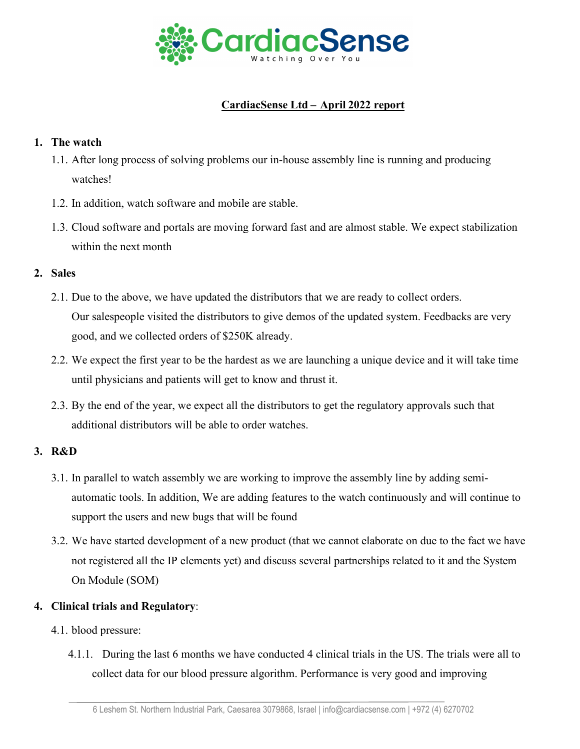

# **CardiacSense Ltd – April 2022 report**

#### **1. The watch**

- 1.1. After long process of solving problems our in-house assembly line is running and producing watches!
- 1.2. In addition, watch software and mobile are stable.
- 1.3. Cloud software and portals are moving forward fast and are almost stable. We expect stabilization within the next month

## **2. Sales**

- 2.1. Due to the above, we have updated the distributors that we are ready to collect orders. Our salespeople visited the distributors to give demos of the updated system. Feedbacks are very good, and we collected orders of \$250K already.
- 2.2. We expect the first year to be the hardest as we are launching a unique device and it will take time until physicians and patients will get to know and thrust it.
- 2.3. By the end of the year, we expect all the distributors to get the regulatory approvals such that additional distributors will be able to order watches.

#### **3. R&D**

- 3.1. In parallel to watch assembly we are working to improve the assembly line by adding semiautomatic tools. In addition, We are adding features to the watch continuously and will continue to support the users and new bugs that will be found
- 3.2. We have started development of a new product (that we cannot elaborate on due to the fact we have not registered all the IP elements yet) and discuss several partnerships related to it and the System On Module (SOM)

# **4. Clinical trials and Regulatory**:

- 4.1. blood pressure:
	- 4.1.1. During the last 6 months we have conducted 4 clinical trials in the US. The trials were all to collect data for our blood pressure algorithm. Performance is very good and improving